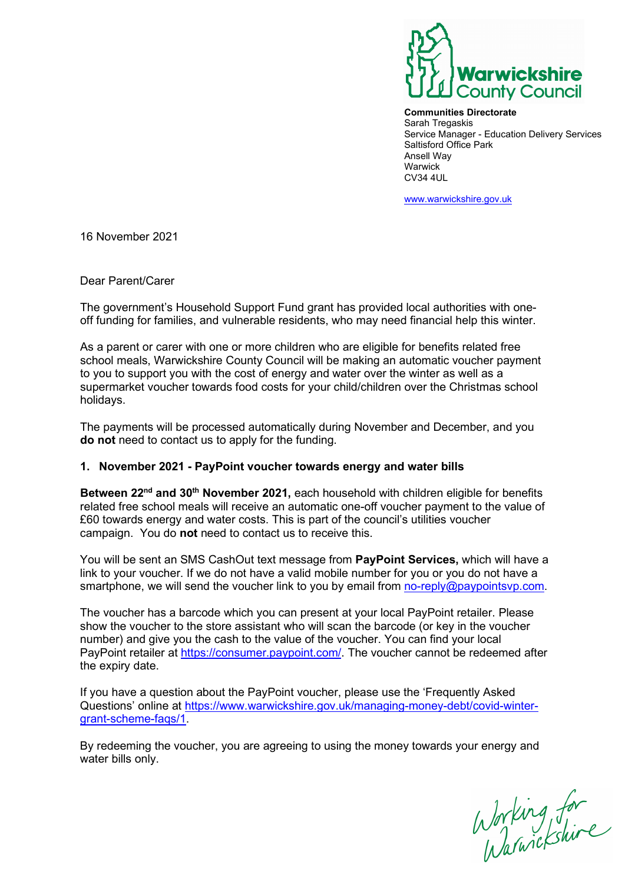

**Communities Directorate**  Sarah Tregaskis Service Manager - Education Delivery Services Saltisford Office Park Ansell Way Warwick CV34 4UL

[www.warwickshire.gov.uk](http://www.warwickshire.gov.uk/)

16 November 2021

Dear Parent/Carer

The government's Household Support Fund grant has provided local authorities with oneoff funding for families, and vulnerable residents, who may need financial help this winter.

As a parent or carer with one or more children who are eligible for benefits related free school meals, Warwickshire County Council will be making an automatic voucher payment to you to support you with the cost of energy and water over the winter as well as a supermarket voucher towards food costs for your child/children over the Christmas school holidays.

The payments will be processed automatically during November and December, and you **do not** need to contact us to apply for the funding.

## **1. November 2021 - PayPoint voucher towards energy and water bills**

**Between 22nd and 30th November 2021,** each household with children eligible for benefits related free school meals will receive an automatic one-off voucher payment to the value of £60 towards energy and water costs. This is part of the council's utilities voucher campaign. You do **not** need to contact us to receive this.

You will be sent an SMS CashOut text message from **PayPoint Services,** which will have a link to your voucher. If we do not have a valid mobile number for you or you do not have a smartphone, we will send the voucher link to you by email from [no-reply@paypointsvp.com.](mailto:no-reply@paypointsvp.com)

The voucher has a barcode which you can present at your local PayPoint retailer. Please show the voucher to the store assistant who will scan the barcode (or key in the voucher number) and give you the cash to the value of the voucher. You can find your local PayPoint retailer at [https://consumer.paypoint.com/.](https://consumer.paypoint.com/) The voucher cannot be redeemed after the expiry date.

If you have a question about the PayPoint voucher, please use the 'Frequently Asked Questions' online at [https://www.warwickshire.gov.uk/managing-money-debt/covid-winter](https://www.warwickshire.gov.uk/managing-money-debt/covid-winter-grant-scheme-faqs/1)[grant-scheme-faqs/1.](https://www.warwickshire.gov.uk/managing-money-debt/covid-winter-grant-scheme-faqs/1)

By redeeming the voucher, you are agreeing to using the money towards your energy and water bills only.

Working for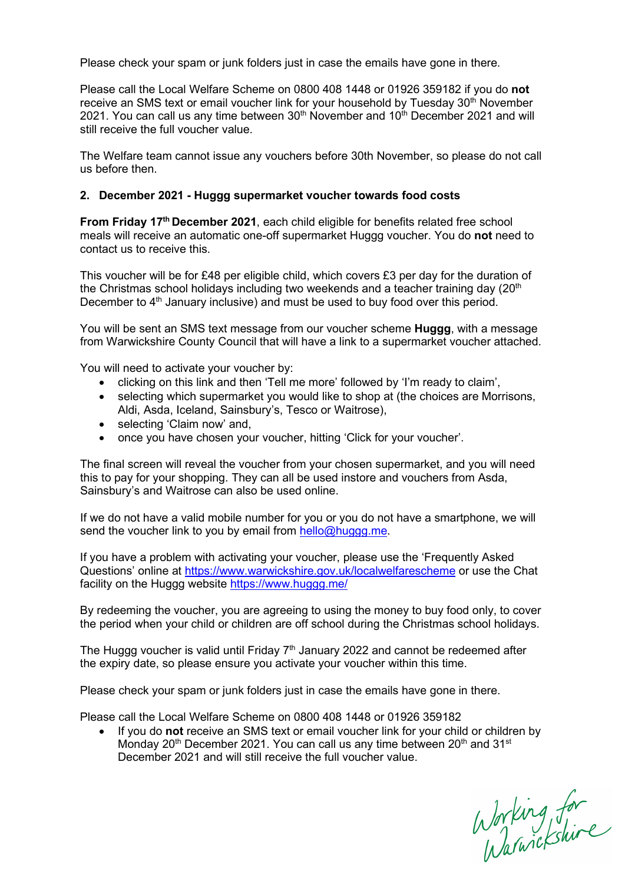Please check your spam or junk folders just in case the emails have gone in there.

Please call the Local Welfare Scheme on 0800 408 1448 or 01926 359182 if you do **not** receive an SMS text or email voucher link for your household by Tuesday 30<sup>th</sup> November 2021. You can call us any time between  $30<sup>th</sup>$  November and  $10<sup>th</sup>$  December 2021 and will still receive the full voucher value.

The Welfare team cannot issue any vouchers before 30th November, so please do not call us before then.

## **2. December 2021 - Huggg supermarket voucher towards food costs**

**From Friday 17<sup>th</sup> December 2021**, each child eligible for benefits related free school meals will receive an automatic one-off supermarket Huggg voucher. You do **not** need to contact us to receive this.

This voucher will be for £48 per eligible child, which covers £3 per day for the duration of the Christmas school holidays including two weekends and a teacher training day  $(20<sup>th</sup>$ December to 4<sup>th</sup> January inclusive) and must be used to buy food over this period.

You will be sent an SMS text message from our voucher scheme **Huggg**, with a message from Warwickshire County Council that will have a link to a supermarket voucher attached.

You will need to activate your voucher by:

- clicking on this link and then 'Tell me more' followed by 'I'm ready to claim',
- selecting which supermarket you would like to shop at (the choices are Morrisons, Aldi, Asda, Iceland, Sainsbury's, Tesco or Waitrose),
- selecting 'Claim now' and,
- once you have chosen your voucher, hitting 'Click for your voucher'.

The final screen will reveal the voucher from your chosen supermarket, and you will need this to pay for your shopping. They can all be used instore and vouchers from Asda, Sainsbury's and Waitrose can also be used online.

If we do not have a valid mobile number for you or you do not have a smartphone, we will send the voucher link to you by email from [hello@huggg.me.](mailto:hello@huggg.me)

If you have a problem with activating your voucher, please use the 'Frequently Asked Questions' online at <https://www.warwickshire.gov.uk/localwelfarescheme> or use the Chat facility on the Huggg website<https://www.huggg.me/>

By redeeming the voucher, you are agreeing to using the money to buy food only, to cover the period when your child or children are off school during the Christmas school holidays.

The Hugga voucher is valid until Friday  $7<sup>th</sup>$  January 2022 and cannot be redeemed after the expiry date, so please ensure you activate your voucher within this time.

Please check your spam or junk folders just in case the emails have gone in there.

Please call the Local Welfare Scheme on 0800 408 1448 or 01926 359182

• If you do **not** receive an SMS text or email voucher link for your child or children by Monday 20<sup>th</sup> December 2021. You can call us any time between 20<sup>th</sup> and 31<sup>st</sup> December 2021 and will still receive the full voucher value.

Working for